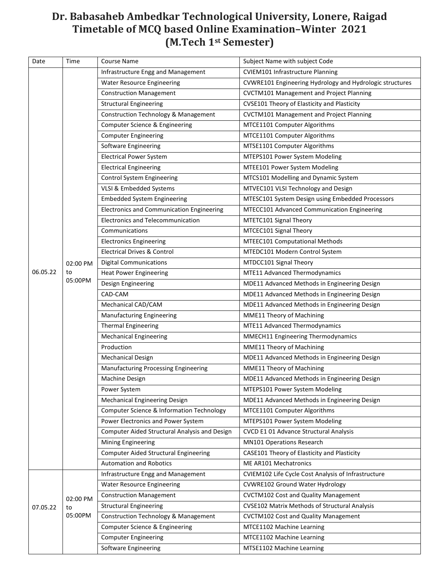## **Dr. Babasaheb Ambedkar Technological University, Lonere, Raigad Timetable of MCQ based Online Examination–Winter 2021 (M.Tech 1st Semester)**

| Date     | Time                      | <b>Course Name</b>                               | Subject Name with subject Code                           |
|----------|---------------------------|--------------------------------------------------|----------------------------------------------------------|
|          |                           | Infrastructure Engg and Management               | <b>CVIEM101 Infrastructure Planning</b>                  |
|          |                           | <b>Water Resource Engineering</b>                | CVWRE101 Engineering Hydrology and Hydrologic structures |
|          |                           | <b>Construction Management</b>                   | <b>CVCTM101 Management and Project Planning</b>          |
|          |                           | <b>Structural Engineering</b>                    | CVSE101 Theory of Elasticity and Plasticity              |
|          |                           | <b>Construction Technology &amp; Management</b>  | <b>CVCTM101 Management and Project Planning</b>          |
|          |                           | <b>Computer Science &amp; Engineering</b>        | MTCE1101 Computer Algorithms                             |
|          |                           | <b>Computer Engineering</b>                      | MTCE1101 Computer Algorithms                             |
|          |                           | Software Engineering                             | MTSE1101 Computer Algorithms                             |
|          |                           | <b>Electrical Power System</b>                   | MTEPS101 Power System Modeling                           |
|          |                           | <b>Electrical Engineering</b>                    | MTEE101 Power System Modeling                            |
|          |                           | <b>Control System Engineering</b>                | MTCS101 Modelling and Dynamic System                     |
|          |                           | VLSI & Embedded Systems                          | MTVEC101 VLSI Technology and Design                      |
|          |                           | <b>Embedded System Engineering</b>               | MTESC101 System Design using Embedded Processors         |
|          |                           | <b>Electronics and Communication Engineering</b> | MTECC101 Advanced Communication Engineering              |
|          |                           | <b>Electronics and Telecommunication</b>         | MTETC101 Signal Theory                                   |
|          |                           | Communications                                   | MTCEC101 Signal Theory                                   |
|          |                           | <b>Electronics Engineering</b>                   | MTEEC101 Computational Methods                           |
|          |                           | <b>Electrical Drives &amp; Control</b>           | MTEDC101 Modern Control System                           |
|          | 02:00 PM                  | <b>Digital Communications</b>                    | MTDCC101 Signal Theory                                   |
| 06.05.22 | to                        | <b>Heat Power Engineering</b>                    | MTE11 Advanced Thermodynamics                            |
|          | 05:00PM                   | Design Engineering                               | MDE11 Advanced Methods in Engineering Design             |
|          |                           | CAD-CAM                                          | MDE11 Advanced Methods in Engineering Design             |
|          |                           | Mechanical CAD/CAM                               | MDE11 Advanced Methods in Engineering Design             |
|          |                           | <b>Manufacturing Engineering</b>                 | MME11 Theory of Machining                                |
|          |                           | <b>Thermal Engineering</b>                       | MTE11 Advanced Thermodynamics                            |
|          |                           | <b>Mechanical Engineering</b>                    | MMECH11 Engineering Thermodynamics                       |
|          |                           | Production                                       | MME11 Theory of Machining                                |
|          |                           | <b>Mechanical Design</b>                         | MDE11 Advanced Methods in Engineering Design             |
|          |                           | Manufacturing Processing Engineering             | MME11 Theory of Machining                                |
|          |                           | Machine Design                                   | MDE11 Advanced Methods in Engineering Design             |
|          |                           | Power System                                     | MTEPS101 Power System Modeling                           |
|          |                           | Mechanical Engineering Design                    | MDE11 Advanced Methods in Engineering Design             |
|          |                           | Computer Science & Information Technology        | MTCE1101 Computer Algorithms                             |
|          |                           | Power Electronics and Power System               | MTEPS101 Power System Modeling                           |
|          |                           | Computer Aided Structural Analysis and Design    | CVCD E1 01 Advance Structural Analysis                   |
|          |                           | <b>Mining Engineering</b>                        | MN101 Operations Research                                |
|          |                           | <b>Computer Aided Structural Engineering</b>     | CASE101 Theory of Elasticity and Plasticity              |
|          |                           | <b>Automation and Robotics</b>                   | ME AR101 Mechatronics                                    |
|          | 02:00 PM<br>to<br>05:00PM | Infrastructure Engg and Management               | CVIEM102 Life Cycle Cost Analysis of Infrastructure      |
|          |                           | <b>Water Resource Engineering</b>                | CVWRE102 Ground Water Hydrology                          |
|          |                           | <b>Construction Management</b>                   | <b>CVCTM102 Cost and Quality Management</b>              |
| 07.05.22 |                           | <b>Structural Engineering</b>                    | <b>CVSE102 Matrix Methods of Structural Analysis</b>     |
|          |                           | <b>Construction Technology &amp; Management</b>  | <b>CVCTM102 Cost and Quality Management</b>              |
|          |                           | Computer Science & Engineering                   | MTCE1102 Machine Learning                                |
|          |                           | <b>Computer Engineering</b>                      | MTCE1102 Machine Learning                                |
|          |                           | Software Engineering                             | MTSE1102 Machine Learning                                |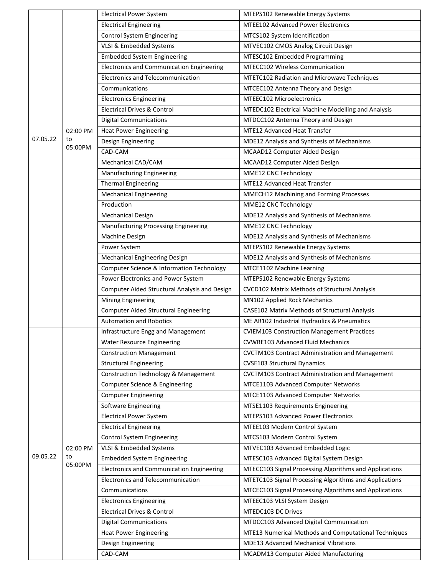|          |          | <b>Electrical Power System</b>                   | MTEPS102 Renewable Energy Systems                      |
|----------|----------|--------------------------------------------------|--------------------------------------------------------|
|          |          | <b>Electrical Engineering</b>                    | <b>MTEE102 Advanced Power Electronics</b>              |
|          |          | Control System Engineering                       | MTCS102 System Identification                          |
|          |          | VLSI & Embedded Systems                          | MTVEC102 CMOS Analog Circuit Design                    |
|          |          | <b>Embedded System Engineering</b>               | MTESC102 Embedded Programming                          |
|          |          | <b>Electronics and Communication Engineering</b> | MTECC102 Wireless Communication                        |
|          |          | <b>Electronics and Telecommunication</b>         | MTETC102 Radiation and Microwave Techniques            |
|          |          | Communications                                   | MTCEC102 Antenna Theory and Design                     |
|          |          | <b>Electronics Engineering</b>                   | <b>MTEEC102 Microelectronics</b>                       |
|          |          | <b>Electrical Drives &amp; Control</b>           | MTEDC102 Electrical Machine Modelling and Analysis     |
|          |          | <b>Digital Communications</b>                    | MTDCC102 Antenna Theory and Design                     |
|          | 02:00 PM | <b>Heat Power Engineering</b>                    | <b>MTE12 Advanced Heat Transfer</b>                    |
| 07.05.22 | to       | Design Engineering                               | MDE12 Analysis and Synthesis of Mechanisms             |
|          | 05:00PM  | CAD-CAM                                          | MCAAD12 Computer Aided Design                          |
|          |          | Mechanical CAD/CAM                               | MCAAD12 Computer Aided Design                          |
|          |          | <b>Manufacturing Engineering</b>                 | MME12 CNC Technology                                   |
|          |          | <b>Thermal Engineering</b>                       | MTE12 Advanced Heat Transfer                           |
|          |          | <b>Mechanical Engineering</b>                    | MMECH12 Machining and Forming Processes                |
|          |          | Production                                       | MME12 CNC Technology                                   |
|          |          | <b>Mechanical Design</b>                         | MDE12 Analysis and Synthesis of Mechanisms             |
|          |          | Manufacturing Processing Engineering             | MME12 CNC Technology                                   |
|          |          | Machine Design                                   | MDE12 Analysis and Synthesis of Mechanisms             |
|          |          | Power System                                     | MTEPS102 Renewable Energy Systems                      |
|          |          | Mechanical Engineering Design                    | MDE12 Analysis and Synthesis of Mechanisms             |
|          |          | Computer Science & Information Technology        | MTCE1102 Machine Learning                              |
|          |          | Power Electronics and Power System               | MTEPS102 Renewable Energy Systems                      |
|          |          |                                                  |                                                        |
|          |          | Computer Aided Structural Analysis and Design    | CVCD102 Matrix Methods of Structural Analysis          |
|          |          | <b>Mining Engineering</b>                        | MN102 Applied Rock Mechanics                           |
|          |          | <b>Computer Aided Structural Engineering</b>     | CASE102 Matrix Methods of Structural Analysis          |
|          |          | <b>Automation and Robotics</b>                   | ME AR102 Industrial Hydraulics & Pneumatics            |
|          |          | Infrastructure Engg and Management               | <b>CVIEM103 Construction Management Practices</b>      |
|          |          | <b>Water Resource Engineering</b>                | <b>CVWRE103 Advanced Fluid Mechanics</b>               |
|          |          | <b>Construction Management</b>                   | CVCTM103 Contract Administration and Management        |
|          |          | <b>Structural Engineering</b>                    | <b>CVSE103 Structural Dynamics</b>                     |
|          |          | <b>Construction Technology &amp; Management</b>  | CVCTM103 Contract Administration and Management        |
|          |          | Computer Science & Engineering                   | MTCE1103 Advanced Computer Networks                    |
|          |          | <b>Computer Engineering</b>                      | MTCE1103 Advanced Computer Networks                    |
|          |          | Software Engineering                             | MTSE1103 Requirements Engineering                      |
|          |          | <b>Electrical Power System</b>                   | MTEPS103 Advanced Power Electronics                    |
|          |          | <b>Electrical Engineering</b>                    | MTEE103 Modern Control System                          |
|          |          | Control System Engineering                       | MTCS103 Modern Control System                          |
|          | 02:00 PM | VLSI & Embedded Systems                          | MTVEC103 Advanced Embedded Logic                       |
| 09.05.22 | to       | <b>Embedded System Engineering</b>               | MTESC103 Advanced Digital System Design                |
|          | 05:00PM  | Electronics and Communication Engineering        | MTECC103 Signal Processing Algorithms and Applications |
|          |          | Electronics and Telecommunication                | MTETC103 Signal Processing Algorithms and Applications |
|          |          | Communications                                   | MTCEC103 Signal Processing Algorithms and Applications |
|          |          | <b>Electronics Engineering</b>                   | MTEEC103 VLSI System Design                            |
|          |          | <b>Electrical Drives &amp; Control</b>           | MTEDC103 DC Drives                                     |
|          |          | <b>Digital Communications</b>                    | MTDCC103 Advanced Digital Communication                |
|          |          | <b>Heat Power Engineering</b>                    | MTE13 Numerical Methods and Computational Techniques   |
|          |          | Design Engineering                               | <b>MDE13 Advanced Mechanical Vibrations</b>            |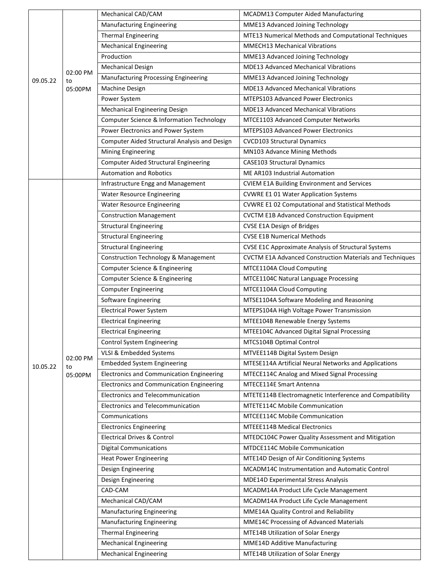| Manufacturing Engineering<br>MME13 Advanced Joining Technology<br>MTE13 Numerical Methods and Computational Techniques<br><b>Thermal Engineering</b><br><b>Mechanical Engineering</b><br><b>MMECH13 Mechanical Vibrations</b><br>Production<br>MME13 Advanced Joining Technology<br>MDE13 Advanced Mechanical Vibrations<br><b>Mechanical Design</b><br>02:00 PM<br>Manufacturing Processing Engineering<br>MME13 Advanced Joining Technology<br>09.05.22<br>to<br><b>MDE13 Advanced Mechanical Vibrations</b><br>Machine Design<br>05:00PM<br>MTEPS103 Advanced Power Electronics<br>Power System<br>MDE13 Advanced Mechanical Vibrations<br>Mechanical Engineering Design<br>Computer Science & Information Technology<br>MTCE1103 Advanced Computer Networks<br>Power Electronics and Power System<br><b>MTEPS103 Advanced Power Electronics</b><br>Computer Aided Structural Analysis and Design<br><b>CVCD103 Structural Dynamics</b><br>MN103 Advance Mining Methods<br><b>Mining Engineering</b><br>Computer Aided Structural Engineering<br><b>CASE103 Structural Dynamics</b><br><b>Automation and Robotics</b><br>ME AR103 Industrial Automation<br>Infrastructure Engg and Management<br><b>CVIEM E1A Building Environment and Services</b><br><b>CVWRE E1 01 Water Application Systems</b><br><b>Water Resource Engineering</b><br><b>CVWRE E1 02 Computational and Statistical Methods</b><br><b>Water Resource Engineering</b><br><b>CVCTM E1B Advanced Construction Equipment</b><br><b>Construction Management</b><br><b>Structural Engineering</b><br><b>CVSE E1A Design of Bridges</b><br><b>Structural Engineering</b><br><b>CVSE E1B Numerical Methods</b><br><b>Structural Engineering</b><br><b>CVSE E1C Approximate Analysis of Structural Systems</b><br><b>Construction Technology &amp; Management</b><br>CVCTM E1A Advanced Construction Materials and Techniques<br>Computer Science & Engineering<br>MTCE1104A Cloud Computing<br>Computer Science & Engineering<br>MTCE1104C Natural Language Processing<br><b>Computer Engineering</b><br>MTCE1104A Cloud Computing<br>MTSE1104A Software Modeling and Reasoning<br>Software Engineering<br><b>Electrical Power System</b><br>MTEPS104A High Voltage Power Transmission<br><b>Electrical Engineering</b><br>MTEE104B Renewable Energy Systems<br><b>Electrical Engineering</b><br>MTEE104C Advanced Digital Signal Processing<br>Control System Engineering<br>MTCS104B Optimal Control<br>VLSI & Embedded Systems<br>MTVEE114B Digital System Design<br>02:00 PM<br><b>Embedded System Engineering</b><br>MTESE114A Artificial Neural Networks and Applications<br>10.05.22<br>to<br>Electronics and Communication Engineering<br>MTECE114C Analog and Mixed Signal Processing<br>05:00PM<br><b>Electronics and Communication Engineering</b><br>MTECE114E Smart Antenna<br><b>Electronics and Telecommunication</b><br>MTETE114B Electromagnetic Interference and Compatibility<br>Electronics and Telecommunication<br>MTETE114C Mobile Communication<br>MTCEE114C Mobile Communication<br>Communications<br><b>MTEEE114B Medical Electronics</b><br><b>Electronics Engineering</b><br><b>Electrical Drives &amp; Control</b><br>MTEDC104C Power Quality Assessment and Mitigation<br>MTDCE114C Mobile Communication<br><b>Digital Communications</b><br><b>Heat Power Engineering</b><br>MTE14D Design of Air Conditioning Systems<br>Design Engineering<br>MCADM14C Instrumentation and Automatic Control<br>MDE14D Experimental Stress Analysis<br>Design Engineering<br>CAD-CAM<br>MCADM14A Product Life Cycle Management |  |  | Mechanical CAD/CAM               | MCADM13 Computer Aided Manufacturing    |
|-----------------------------------------------------------------------------------------------------------------------------------------------------------------------------------------------------------------------------------------------------------------------------------------------------------------------------------------------------------------------------------------------------------------------------------------------------------------------------------------------------------------------------------------------------------------------------------------------------------------------------------------------------------------------------------------------------------------------------------------------------------------------------------------------------------------------------------------------------------------------------------------------------------------------------------------------------------------------------------------------------------------------------------------------------------------------------------------------------------------------------------------------------------------------------------------------------------------------------------------------------------------------------------------------------------------------------------------------------------------------------------------------------------------------------------------------------------------------------------------------------------------------------------------------------------------------------------------------------------------------------------------------------------------------------------------------------------------------------------------------------------------------------------------------------------------------------------------------------------------------------------------------------------------------------------------------------------------------------------------------------------------------------------------------------------------------------------------------------------------------------------------------------------------------------------------------------------------------------------------------------------------------------------------------------------------------------------------------------------------------------------------------------------------------------------------------------------------------------------------------------------------------------------------------------------------------------------------------------------------------------------------------------------------------------------------------------------------------------------------------------------------------------------------------------------------------------------------------------------------------------------------------------------------------------------------------------------------------------------------------------------------------------------------------------------------------------------------------------------------------------------------------------------------------------------------------------------------------------------------------------------------------------------------------------------------------------------------------------------------------------------------------------------------------------------------------------------------------------------------------------------------------------------------------------------------------------------------------------------------|--|--|----------------------------------|-----------------------------------------|
|                                                                                                                                                                                                                                                                                                                                                                                                                                                                                                                                                                                                                                                                                                                                                                                                                                                                                                                                                                                                                                                                                                                                                                                                                                                                                                                                                                                                                                                                                                                                                                                                                                                                                                                                                                                                                                                                                                                                                                                                                                                                                                                                                                                                                                                                                                                                                                                                                                                                                                                                                                                                                                                                                                                                                                                                                                                                                                                                                                                                                                                                                                                                                                                                                                                                                                                                                                                                                                                                                                                                                                                                                 |  |  |                                  |                                         |
|                                                                                                                                                                                                                                                                                                                                                                                                                                                                                                                                                                                                                                                                                                                                                                                                                                                                                                                                                                                                                                                                                                                                                                                                                                                                                                                                                                                                                                                                                                                                                                                                                                                                                                                                                                                                                                                                                                                                                                                                                                                                                                                                                                                                                                                                                                                                                                                                                                                                                                                                                                                                                                                                                                                                                                                                                                                                                                                                                                                                                                                                                                                                                                                                                                                                                                                                                                                                                                                                                                                                                                                                                 |  |  |                                  |                                         |
|                                                                                                                                                                                                                                                                                                                                                                                                                                                                                                                                                                                                                                                                                                                                                                                                                                                                                                                                                                                                                                                                                                                                                                                                                                                                                                                                                                                                                                                                                                                                                                                                                                                                                                                                                                                                                                                                                                                                                                                                                                                                                                                                                                                                                                                                                                                                                                                                                                                                                                                                                                                                                                                                                                                                                                                                                                                                                                                                                                                                                                                                                                                                                                                                                                                                                                                                                                                                                                                                                                                                                                                                                 |  |  |                                  |                                         |
|                                                                                                                                                                                                                                                                                                                                                                                                                                                                                                                                                                                                                                                                                                                                                                                                                                                                                                                                                                                                                                                                                                                                                                                                                                                                                                                                                                                                                                                                                                                                                                                                                                                                                                                                                                                                                                                                                                                                                                                                                                                                                                                                                                                                                                                                                                                                                                                                                                                                                                                                                                                                                                                                                                                                                                                                                                                                                                                                                                                                                                                                                                                                                                                                                                                                                                                                                                                                                                                                                                                                                                                                                 |  |  |                                  |                                         |
|                                                                                                                                                                                                                                                                                                                                                                                                                                                                                                                                                                                                                                                                                                                                                                                                                                                                                                                                                                                                                                                                                                                                                                                                                                                                                                                                                                                                                                                                                                                                                                                                                                                                                                                                                                                                                                                                                                                                                                                                                                                                                                                                                                                                                                                                                                                                                                                                                                                                                                                                                                                                                                                                                                                                                                                                                                                                                                                                                                                                                                                                                                                                                                                                                                                                                                                                                                                                                                                                                                                                                                                                                 |  |  |                                  |                                         |
|                                                                                                                                                                                                                                                                                                                                                                                                                                                                                                                                                                                                                                                                                                                                                                                                                                                                                                                                                                                                                                                                                                                                                                                                                                                                                                                                                                                                                                                                                                                                                                                                                                                                                                                                                                                                                                                                                                                                                                                                                                                                                                                                                                                                                                                                                                                                                                                                                                                                                                                                                                                                                                                                                                                                                                                                                                                                                                                                                                                                                                                                                                                                                                                                                                                                                                                                                                                                                                                                                                                                                                                                                 |  |  |                                  |                                         |
|                                                                                                                                                                                                                                                                                                                                                                                                                                                                                                                                                                                                                                                                                                                                                                                                                                                                                                                                                                                                                                                                                                                                                                                                                                                                                                                                                                                                                                                                                                                                                                                                                                                                                                                                                                                                                                                                                                                                                                                                                                                                                                                                                                                                                                                                                                                                                                                                                                                                                                                                                                                                                                                                                                                                                                                                                                                                                                                                                                                                                                                                                                                                                                                                                                                                                                                                                                                                                                                                                                                                                                                                                 |  |  |                                  |                                         |
|                                                                                                                                                                                                                                                                                                                                                                                                                                                                                                                                                                                                                                                                                                                                                                                                                                                                                                                                                                                                                                                                                                                                                                                                                                                                                                                                                                                                                                                                                                                                                                                                                                                                                                                                                                                                                                                                                                                                                                                                                                                                                                                                                                                                                                                                                                                                                                                                                                                                                                                                                                                                                                                                                                                                                                                                                                                                                                                                                                                                                                                                                                                                                                                                                                                                                                                                                                                                                                                                                                                                                                                                                 |  |  |                                  |                                         |
|                                                                                                                                                                                                                                                                                                                                                                                                                                                                                                                                                                                                                                                                                                                                                                                                                                                                                                                                                                                                                                                                                                                                                                                                                                                                                                                                                                                                                                                                                                                                                                                                                                                                                                                                                                                                                                                                                                                                                                                                                                                                                                                                                                                                                                                                                                                                                                                                                                                                                                                                                                                                                                                                                                                                                                                                                                                                                                                                                                                                                                                                                                                                                                                                                                                                                                                                                                                                                                                                                                                                                                                                                 |  |  |                                  |                                         |
|                                                                                                                                                                                                                                                                                                                                                                                                                                                                                                                                                                                                                                                                                                                                                                                                                                                                                                                                                                                                                                                                                                                                                                                                                                                                                                                                                                                                                                                                                                                                                                                                                                                                                                                                                                                                                                                                                                                                                                                                                                                                                                                                                                                                                                                                                                                                                                                                                                                                                                                                                                                                                                                                                                                                                                                                                                                                                                                                                                                                                                                                                                                                                                                                                                                                                                                                                                                                                                                                                                                                                                                                                 |  |  |                                  |                                         |
|                                                                                                                                                                                                                                                                                                                                                                                                                                                                                                                                                                                                                                                                                                                                                                                                                                                                                                                                                                                                                                                                                                                                                                                                                                                                                                                                                                                                                                                                                                                                                                                                                                                                                                                                                                                                                                                                                                                                                                                                                                                                                                                                                                                                                                                                                                                                                                                                                                                                                                                                                                                                                                                                                                                                                                                                                                                                                                                                                                                                                                                                                                                                                                                                                                                                                                                                                                                                                                                                                                                                                                                                                 |  |  |                                  |                                         |
|                                                                                                                                                                                                                                                                                                                                                                                                                                                                                                                                                                                                                                                                                                                                                                                                                                                                                                                                                                                                                                                                                                                                                                                                                                                                                                                                                                                                                                                                                                                                                                                                                                                                                                                                                                                                                                                                                                                                                                                                                                                                                                                                                                                                                                                                                                                                                                                                                                                                                                                                                                                                                                                                                                                                                                                                                                                                                                                                                                                                                                                                                                                                                                                                                                                                                                                                                                                                                                                                                                                                                                                                                 |  |  |                                  |                                         |
|                                                                                                                                                                                                                                                                                                                                                                                                                                                                                                                                                                                                                                                                                                                                                                                                                                                                                                                                                                                                                                                                                                                                                                                                                                                                                                                                                                                                                                                                                                                                                                                                                                                                                                                                                                                                                                                                                                                                                                                                                                                                                                                                                                                                                                                                                                                                                                                                                                                                                                                                                                                                                                                                                                                                                                                                                                                                                                                                                                                                                                                                                                                                                                                                                                                                                                                                                                                                                                                                                                                                                                                                                 |  |  |                                  |                                         |
|                                                                                                                                                                                                                                                                                                                                                                                                                                                                                                                                                                                                                                                                                                                                                                                                                                                                                                                                                                                                                                                                                                                                                                                                                                                                                                                                                                                                                                                                                                                                                                                                                                                                                                                                                                                                                                                                                                                                                                                                                                                                                                                                                                                                                                                                                                                                                                                                                                                                                                                                                                                                                                                                                                                                                                                                                                                                                                                                                                                                                                                                                                                                                                                                                                                                                                                                                                                                                                                                                                                                                                                                                 |  |  |                                  |                                         |
|                                                                                                                                                                                                                                                                                                                                                                                                                                                                                                                                                                                                                                                                                                                                                                                                                                                                                                                                                                                                                                                                                                                                                                                                                                                                                                                                                                                                                                                                                                                                                                                                                                                                                                                                                                                                                                                                                                                                                                                                                                                                                                                                                                                                                                                                                                                                                                                                                                                                                                                                                                                                                                                                                                                                                                                                                                                                                                                                                                                                                                                                                                                                                                                                                                                                                                                                                                                                                                                                                                                                                                                                                 |  |  |                                  |                                         |
|                                                                                                                                                                                                                                                                                                                                                                                                                                                                                                                                                                                                                                                                                                                                                                                                                                                                                                                                                                                                                                                                                                                                                                                                                                                                                                                                                                                                                                                                                                                                                                                                                                                                                                                                                                                                                                                                                                                                                                                                                                                                                                                                                                                                                                                                                                                                                                                                                                                                                                                                                                                                                                                                                                                                                                                                                                                                                                                                                                                                                                                                                                                                                                                                                                                                                                                                                                                                                                                                                                                                                                                                                 |  |  |                                  |                                         |
|                                                                                                                                                                                                                                                                                                                                                                                                                                                                                                                                                                                                                                                                                                                                                                                                                                                                                                                                                                                                                                                                                                                                                                                                                                                                                                                                                                                                                                                                                                                                                                                                                                                                                                                                                                                                                                                                                                                                                                                                                                                                                                                                                                                                                                                                                                                                                                                                                                                                                                                                                                                                                                                                                                                                                                                                                                                                                                                                                                                                                                                                                                                                                                                                                                                                                                                                                                                                                                                                                                                                                                                                                 |  |  |                                  |                                         |
|                                                                                                                                                                                                                                                                                                                                                                                                                                                                                                                                                                                                                                                                                                                                                                                                                                                                                                                                                                                                                                                                                                                                                                                                                                                                                                                                                                                                                                                                                                                                                                                                                                                                                                                                                                                                                                                                                                                                                                                                                                                                                                                                                                                                                                                                                                                                                                                                                                                                                                                                                                                                                                                                                                                                                                                                                                                                                                                                                                                                                                                                                                                                                                                                                                                                                                                                                                                                                                                                                                                                                                                                                 |  |  |                                  |                                         |
|                                                                                                                                                                                                                                                                                                                                                                                                                                                                                                                                                                                                                                                                                                                                                                                                                                                                                                                                                                                                                                                                                                                                                                                                                                                                                                                                                                                                                                                                                                                                                                                                                                                                                                                                                                                                                                                                                                                                                                                                                                                                                                                                                                                                                                                                                                                                                                                                                                                                                                                                                                                                                                                                                                                                                                                                                                                                                                                                                                                                                                                                                                                                                                                                                                                                                                                                                                                                                                                                                                                                                                                                                 |  |  |                                  |                                         |
|                                                                                                                                                                                                                                                                                                                                                                                                                                                                                                                                                                                                                                                                                                                                                                                                                                                                                                                                                                                                                                                                                                                                                                                                                                                                                                                                                                                                                                                                                                                                                                                                                                                                                                                                                                                                                                                                                                                                                                                                                                                                                                                                                                                                                                                                                                                                                                                                                                                                                                                                                                                                                                                                                                                                                                                                                                                                                                                                                                                                                                                                                                                                                                                                                                                                                                                                                                                                                                                                                                                                                                                                                 |  |  |                                  |                                         |
|                                                                                                                                                                                                                                                                                                                                                                                                                                                                                                                                                                                                                                                                                                                                                                                                                                                                                                                                                                                                                                                                                                                                                                                                                                                                                                                                                                                                                                                                                                                                                                                                                                                                                                                                                                                                                                                                                                                                                                                                                                                                                                                                                                                                                                                                                                                                                                                                                                                                                                                                                                                                                                                                                                                                                                                                                                                                                                                                                                                                                                                                                                                                                                                                                                                                                                                                                                                                                                                                                                                                                                                                                 |  |  |                                  |                                         |
|                                                                                                                                                                                                                                                                                                                                                                                                                                                                                                                                                                                                                                                                                                                                                                                                                                                                                                                                                                                                                                                                                                                                                                                                                                                                                                                                                                                                                                                                                                                                                                                                                                                                                                                                                                                                                                                                                                                                                                                                                                                                                                                                                                                                                                                                                                                                                                                                                                                                                                                                                                                                                                                                                                                                                                                                                                                                                                                                                                                                                                                                                                                                                                                                                                                                                                                                                                                                                                                                                                                                                                                                                 |  |  |                                  |                                         |
|                                                                                                                                                                                                                                                                                                                                                                                                                                                                                                                                                                                                                                                                                                                                                                                                                                                                                                                                                                                                                                                                                                                                                                                                                                                                                                                                                                                                                                                                                                                                                                                                                                                                                                                                                                                                                                                                                                                                                                                                                                                                                                                                                                                                                                                                                                                                                                                                                                                                                                                                                                                                                                                                                                                                                                                                                                                                                                                                                                                                                                                                                                                                                                                                                                                                                                                                                                                                                                                                                                                                                                                                                 |  |  |                                  |                                         |
|                                                                                                                                                                                                                                                                                                                                                                                                                                                                                                                                                                                                                                                                                                                                                                                                                                                                                                                                                                                                                                                                                                                                                                                                                                                                                                                                                                                                                                                                                                                                                                                                                                                                                                                                                                                                                                                                                                                                                                                                                                                                                                                                                                                                                                                                                                                                                                                                                                                                                                                                                                                                                                                                                                                                                                                                                                                                                                                                                                                                                                                                                                                                                                                                                                                                                                                                                                                                                                                                                                                                                                                                                 |  |  |                                  |                                         |
|                                                                                                                                                                                                                                                                                                                                                                                                                                                                                                                                                                                                                                                                                                                                                                                                                                                                                                                                                                                                                                                                                                                                                                                                                                                                                                                                                                                                                                                                                                                                                                                                                                                                                                                                                                                                                                                                                                                                                                                                                                                                                                                                                                                                                                                                                                                                                                                                                                                                                                                                                                                                                                                                                                                                                                                                                                                                                                                                                                                                                                                                                                                                                                                                                                                                                                                                                                                                                                                                                                                                                                                                                 |  |  |                                  |                                         |
|                                                                                                                                                                                                                                                                                                                                                                                                                                                                                                                                                                                                                                                                                                                                                                                                                                                                                                                                                                                                                                                                                                                                                                                                                                                                                                                                                                                                                                                                                                                                                                                                                                                                                                                                                                                                                                                                                                                                                                                                                                                                                                                                                                                                                                                                                                                                                                                                                                                                                                                                                                                                                                                                                                                                                                                                                                                                                                                                                                                                                                                                                                                                                                                                                                                                                                                                                                                                                                                                                                                                                                                                                 |  |  |                                  |                                         |
|                                                                                                                                                                                                                                                                                                                                                                                                                                                                                                                                                                                                                                                                                                                                                                                                                                                                                                                                                                                                                                                                                                                                                                                                                                                                                                                                                                                                                                                                                                                                                                                                                                                                                                                                                                                                                                                                                                                                                                                                                                                                                                                                                                                                                                                                                                                                                                                                                                                                                                                                                                                                                                                                                                                                                                                                                                                                                                                                                                                                                                                                                                                                                                                                                                                                                                                                                                                                                                                                                                                                                                                                                 |  |  |                                  |                                         |
|                                                                                                                                                                                                                                                                                                                                                                                                                                                                                                                                                                                                                                                                                                                                                                                                                                                                                                                                                                                                                                                                                                                                                                                                                                                                                                                                                                                                                                                                                                                                                                                                                                                                                                                                                                                                                                                                                                                                                                                                                                                                                                                                                                                                                                                                                                                                                                                                                                                                                                                                                                                                                                                                                                                                                                                                                                                                                                                                                                                                                                                                                                                                                                                                                                                                                                                                                                                                                                                                                                                                                                                                                 |  |  |                                  |                                         |
|                                                                                                                                                                                                                                                                                                                                                                                                                                                                                                                                                                                                                                                                                                                                                                                                                                                                                                                                                                                                                                                                                                                                                                                                                                                                                                                                                                                                                                                                                                                                                                                                                                                                                                                                                                                                                                                                                                                                                                                                                                                                                                                                                                                                                                                                                                                                                                                                                                                                                                                                                                                                                                                                                                                                                                                                                                                                                                                                                                                                                                                                                                                                                                                                                                                                                                                                                                                                                                                                                                                                                                                                                 |  |  |                                  |                                         |
|                                                                                                                                                                                                                                                                                                                                                                                                                                                                                                                                                                                                                                                                                                                                                                                                                                                                                                                                                                                                                                                                                                                                                                                                                                                                                                                                                                                                                                                                                                                                                                                                                                                                                                                                                                                                                                                                                                                                                                                                                                                                                                                                                                                                                                                                                                                                                                                                                                                                                                                                                                                                                                                                                                                                                                                                                                                                                                                                                                                                                                                                                                                                                                                                                                                                                                                                                                                                                                                                                                                                                                                                                 |  |  |                                  |                                         |
|                                                                                                                                                                                                                                                                                                                                                                                                                                                                                                                                                                                                                                                                                                                                                                                                                                                                                                                                                                                                                                                                                                                                                                                                                                                                                                                                                                                                                                                                                                                                                                                                                                                                                                                                                                                                                                                                                                                                                                                                                                                                                                                                                                                                                                                                                                                                                                                                                                                                                                                                                                                                                                                                                                                                                                                                                                                                                                                                                                                                                                                                                                                                                                                                                                                                                                                                                                                                                                                                                                                                                                                                                 |  |  |                                  |                                         |
|                                                                                                                                                                                                                                                                                                                                                                                                                                                                                                                                                                                                                                                                                                                                                                                                                                                                                                                                                                                                                                                                                                                                                                                                                                                                                                                                                                                                                                                                                                                                                                                                                                                                                                                                                                                                                                                                                                                                                                                                                                                                                                                                                                                                                                                                                                                                                                                                                                                                                                                                                                                                                                                                                                                                                                                                                                                                                                                                                                                                                                                                                                                                                                                                                                                                                                                                                                                                                                                                                                                                                                                                                 |  |  |                                  |                                         |
|                                                                                                                                                                                                                                                                                                                                                                                                                                                                                                                                                                                                                                                                                                                                                                                                                                                                                                                                                                                                                                                                                                                                                                                                                                                                                                                                                                                                                                                                                                                                                                                                                                                                                                                                                                                                                                                                                                                                                                                                                                                                                                                                                                                                                                                                                                                                                                                                                                                                                                                                                                                                                                                                                                                                                                                                                                                                                                                                                                                                                                                                                                                                                                                                                                                                                                                                                                                                                                                                                                                                                                                                                 |  |  |                                  |                                         |
|                                                                                                                                                                                                                                                                                                                                                                                                                                                                                                                                                                                                                                                                                                                                                                                                                                                                                                                                                                                                                                                                                                                                                                                                                                                                                                                                                                                                                                                                                                                                                                                                                                                                                                                                                                                                                                                                                                                                                                                                                                                                                                                                                                                                                                                                                                                                                                                                                                                                                                                                                                                                                                                                                                                                                                                                                                                                                                                                                                                                                                                                                                                                                                                                                                                                                                                                                                                                                                                                                                                                                                                                                 |  |  |                                  |                                         |
|                                                                                                                                                                                                                                                                                                                                                                                                                                                                                                                                                                                                                                                                                                                                                                                                                                                                                                                                                                                                                                                                                                                                                                                                                                                                                                                                                                                                                                                                                                                                                                                                                                                                                                                                                                                                                                                                                                                                                                                                                                                                                                                                                                                                                                                                                                                                                                                                                                                                                                                                                                                                                                                                                                                                                                                                                                                                                                                                                                                                                                                                                                                                                                                                                                                                                                                                                                                                                                                                                                                                                                                                                 |  |  |                                  |                                         |
|                                                                                                                                                                                                                                                                                                                                                                                                                                                                                                                                                                                                                                                                                                                                                                                                                                                                                                                                                                                                                                                                                                                                                                                                                                                                                                                                                                                                                                                                                                                                                                                                                                                                                                                                                                                                                                                                                                                                                                                                                                                                                                                                                                                                                                                                                                                                                                                                                                                                                                                                                                                                                                                                                                                                                                                                                                                                                                                                                                                                                                                                                                                                                                                                                                                                                                                                                                                                                                                                                                                                                                                                                 |  |  |                                  |                                         |
|                                                                                                                                                                                                                                                                                                                                                                                                                                                                                                                                                                                                                                                                                                                                                                                                                                                                                                                                                                                                                                                                                                                                                                                                                                                                                                                                                                                                                                                                                                                                                                                                                                                                                                                                                                                                                                                                                                                                                                                                                                                                                                                                                                                                                                                                                                                                                                                                                                                                                                                                                                                                                                                                                                                                                                                                                                                                                                                                                                                                                                                                                                                                                                                                                                                                                                                                                                                                                                                                                                                                                                                                                 |  |  |                                  |                                         |
|                                                                                                                                                                                                                                                                                                                                                                                                                                                                                                                                                                                                                                                                                                                                                                                                                                                                                                                                                                                                                                                                                                                                                                                                                                                                                                                                                                                                                                                                                                                                                                                                                                                                                                                                                                                                                                                                                                                                                                                                                                                                                                                                                                                                                                                                                                                                                                                                                                                                                                                                                                                                                                                                                                                                                                                                                                                                                                                                                                                                                                                                                                                                                                                                                                                                                                                                                                                                                                                                                                                                                                                                                 |  |  |                                  |                                         |
|                                                                                                                                                                                                                                                                                                                                                                                                                                                                                                                                                                                                                                                                                                                                                                                                                                                                                                                                                                                                                                                                                                                                                                                                                                                                                                                                                                                                                                                                                                                                                                                                                                                                                                                                                                                                                                                                                                                                                                                                                                                                                                                                                                                                                                                                                                                                                                                                                                                                                                                                                                                                                                                                                                                                                                                                                                                                                                                                                                                                                                                                                                                                                                                                                                                                                                                                                                                                                                                                                                                                                                                                                 |  |  |                                  |                                         |
|                                                                                                                                                                                                                                                                                                                                                                                                                                                                                                                                                                                                                                                                                                                                                                                                                                                                                                                                                                                                                                                                                                                                                                                                                                                                                                                                                                                                                                                                                                                                                                                                                                                                                                                                                                                                                                                                                                                                                                                                                                                                                                                                                                                                                                                                                                                                                                                                                                                                                                                                                                                                                                                                                                                                                                                                                                                                                                                                                                                                                                                                                                                                                                                                                                                                                                                                                                                                                                                                                                                                                                                                                 |  |  |                                  |                                         |
|                                                                                                                                                                                                                                                                                                                                                                                                                                                                                                                                                                                                                                                                                                                                                                                                                                                                                                                                                                                                                                                                                                                                                                                                                                                                                                                                                                                                                                                                                                                                                                                                                                                                                                                                                                                                                                                                                                                                                                                                                                                                                                                                                                                                                                                                                                                                                                                                                                                                                                                                                                                                                                                                                                                                                                                                                                                                                                                                                                                                                                                                                                                                                                                                                                                                                                                                                                                                                                                                                                                                                                                                                 |  |  |                                  |                                         |
|                                                                                                                                                                                                                                                                                                                                                                                                                                                                                                                                                                                                                                                                                                                                                                                                                                                                                                                                                                                                                                                                                                                                                                                                                                                                                                                                                                                                                                                                                                                                                                                                                                                                                                                                                                                                                                                                                                                                                                                                                                                                                                                                                                                                                                                                                                                                                                                                                                                                                                                                                                                                                                                                                                                                                                                                                                                                                                                                                                                                                                                                                                                                                                                                                                                                                                                                                                                                                                                                                                                                                                                                                 |  |  |                                  |                                         |
|                                                                                                                                                                                                                                                                                                                                                                                                                                                                                                                                                                                                                                                                                                                                                                                                                                                                                                                                                                                                                                                                                                                                                                                                                                                                                                                                                                                                                                                                                                                                                                                                                                                                                                                                                                                                                                                                                                                                                                                                                                                                                                                                                                                                                                                                                                                                                                                                                                                                                                                                                                                                                                                                                                                                                                                                                                                                                                                                                                                                                                                                                                                                                                                                                                                                                                                                                                                                                                                                                                                                                                                                                 |  |  |                                  |                                         |
|                                                                                                                                                                                                                                                                                                                                                                                                                                                                                                                                                                                                                                                                                                                                                                                                                                                                                                                                                                                                                                                                                                                                                                                                                                                                                                                                                                                                                                                                                                                                                                                                                                                                                                                                                                                                                                                                                                                                                                                                                                                                                                                                                                                                                                                                                                                                                                                                                                                                                                                                                                                                                                                                                                                                                                                                                                                                                                                                                                                                                                                                                                                                                                                                                                                                                                                                                                                                                                                                                                                                                                                                                 |  |  |                                  |                                         |
|                                                                                                                                                                                                                                                                                                                                                                                                                                                                                                                                                                                                                                                                                                                                                                                                                                                                                                                                                                                                                                                                                                                                                                                                                                                                                                                                                                                                                                                                                                                                                                                                                                                                                                                                                                                                                                                                                                                                                                                                                                                                                                                                                                                                                                                                                                                                                                                                                                                                                                                                                                                                                                                                                                                                                                                                                                                                                                                                                                                                                                                                                                                                                                                                                                                                                                                                                                                                                                                                                                                                                                                                                 |  |  |                                  |                                         |
| Mechanical CAD/CAM<br>MCADM14A Product Life Cycle Management                                                                                                                                                                                                                                                                                                                                                                                                                                                                                                                                                                                                                                                                                                                                                                                                                                                                                                                                                                                                                                                                                                                                                                                                                                                                                                                                                                                                                                                                                                                                                                                                                                                                                                                                                                                                                                                                                                                                                                                                                                                                                                                                                                                                                                                                                                                                                                                                                                                                                                                                                                                                                                                                                                                                                                                                                                                                                                                                                                                                                                                                                                                                                                                                                                                                                                                                                                                                                                                                                                                                                    |  |  |                                  |                                         |
| Manufacturing Engineering<br>MME14A Quality Control and Reliability                                                                                                                                                                                                                                                                                                                                                                                                                                                                                                                                                                                                                                                                                                                                                                                                                                                                                                                                                                                                                                                                                                                                                                                                                                                                                                                                                                                                                                                                                                                                                                                                                                                                                                                                                                                                                                                                                                                                                                                                                                                                                                                                                                                                                                                                                                                                                                                                                                                                                                                                                                                                                                                                                                                                                                                                                                                                                                                                                                                                                                                                                                                                                                                                                                                                                                                                                                                                                                                                                                                                             |  |  |                                  |                                         |
|                                                                                                                                                                                                                                                                                                                                                                                                                                                                                                                                                                                                                                                                                                                                                                                                                                                                                                                                                                                                                                                                                                                                                                                                                                                                                                                                                                                                                                                                                                                                                                                                                                                                                                                                                                                                                                                                                                                                                                                                                                                                                                                                                                                                                                                                                                                                                                                                                                                                                                                                                                                                                                                                                                                                                                                                                                                                                                                                                                                                                                                                                                                                                                                                                                                                                                                                                                                                                                                                                                                                                                                                                 |  |  | <b>Manufacturing Engineering</b> | MME14C Processing of Advanced Materials |
|                                                                                                                                                                                                                                                                                                                                                                                                                                                                                                                                                                                                                                                                                                                                                                                                                                                                                                                                                                                                                                                                                                                                                                                                                                                                                                                                                                                                                                                                                                                                                                                                                                                                                                                                                                                                                                                                                                                                                                                                                                                                                                                                                                                                                                                                                                                                                                                                                                                                                                                                                                                                                                                                                                                                                                                                                                                                                                                                                                                                                                                                                                                                                                                                                                                                                                                                                                                                                                                                                                                                                                                                                 |  |  | <b>Thermal Engineering</b>       | MTE14B Utilization of Solar Energy      |
|                                                                                                                                                                                                                                                                                                                                                                                                                                                                                                                                                                                                                                                                                                                                                                                                                                                                                                                                                                                                                                                                                                                                                                                                                                                                                                                                                                                                                                                                                                                                                                                                                                                                                                                                                                                                                                                                                                                                                                                                                                                                                                                                                                                                                                                                                                                                                                                                                                                                                                                                                                                                                                                                                                                                                                                                                                                                                                                                                                                                                                                                                                                                                                                                                                                                                                                                                                                                                                                                                                                                                                                                                 |  |  | <b>Mechanical Engineering</b>    | MME14D Additive Manufacturing           |
|                                                                                                                                                                                                                                                                                                                                                                                                                                                                                                                                                                                                                                                                                                                                                                                                                                                                                                                                                                                                                                                                                                                                                                                                                                                                                                                                                                                                                                                                                                                                                                                                                                                                                                                                                                                                                                                                                                                                                                                                                                                                                                                                                                                                                                                                                                                                                                                                                                                                                                                                                                                                                                                                                                                                                                                                                                                                                                                                                                                                                                                                                                                                                                                                                                                                                                                                                                                                                                                                                                                                                                                                                 |  |  | <b>Mechanical Engineering</b>    | MTE14B Utilization of Solar Energy      |
|                                                                                                                                                                                                                                                                                                                                                                                                                                                                                                                                                                                                                                                                                                                                                                                                                                                                                                                                                                                                                                                                                                                                                                                                                                                                                                                                                                                                                                                                                                                                                                                                                                                                                                                                                                                                                                                                                                                                                                                                                                                                                                                                                                                                                                                                                                                                                                                                                                                                                                                                                                                                                                                                                                                                                                                                                                                                                                                                                                                                                                                                                                                                                                                                                                                                                                                                                                                                                                                                                                                                                                                                                 |  |  |                                  |                                         |
|                                                                                                                                                                                                                                                                                                                                                                                                                                                                                                                                                                                                                                                                                                                                                                                                                                                                                                                                                                                                                                                                                                                                                                                                                                                                                                                                                                                                                                                                                                                                                                                                                                                                                                                                                                                                                                                                                                                                                                                                                                                                                                                                                                                                                                                                                                                                                                                                                                                                                                                                                                                                                                                                                                                                                                                                                                                                                                                                                                                                                                                                                                                                                                                                                                                                                                                                                                                                                                                                                                                                                                                                                 |  |  |                                  |                                         |
|                                                                                                                                                                                                                                                                                                                                                                                                                                                                                                                                                                                                                                                                                                                                                                                                                                                                                                                                                                                                                                                                                                                                                                                                                                                                                                                                                                                                                                                                                                                                                                                                                                                                                                                                                                                                                                                                                                                                                                                                                                                                                                                                                                                                                                                                                                                                                                                                                                                                                                                                                                                                                                                                                                                                                                                                                                                                                                                                                                                                                                                                                                                                                                                                                                                                                                                                                                                                                                                                                                                                                                                                                 |  |  |                                  |                                         |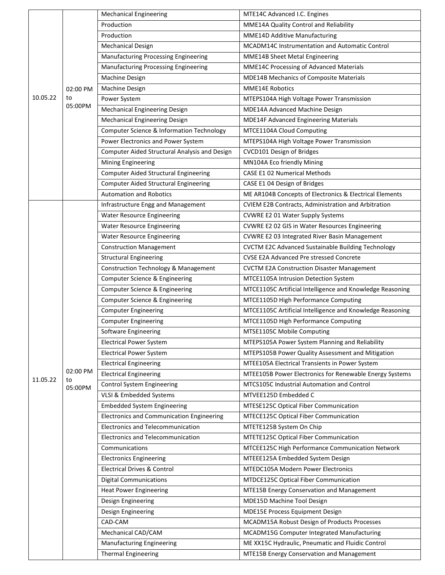|          |               | <b>Mechanical Engineering</b>                   | MTE14C Advanced I.C. Engines                              |
|----------|---------------|-------------------------------------------------|-----------------------------------------------------------|
|          |               | Production                                      | MME14A Quality Control and Reliability                    |
|          |               | Production                                      | MME14D Additive Manufacturing                             |
|          |               | <b>Mechanical Design</b>                        | MCADM14C Instrumentation and Automatic Control            |
|          |               | Manufacturing Processing Engineering            | MME14B Sheet Metal Engineering                            |
|          |               | Manufacturing Processing Engineering            | MME14C Processing of Advanced Materials                   |
|          |               | Machine Design                                  | MDE14B Mechanics of Composite Materials                   |
|          | 02:00 PM      | <b>Machine Design</b>                           | <b>MME14E Robotics</b>                                    |
| 10.05.22 | to            | Power System                                    | MTEPS104A High Voltage Power Transmission                 |
|          | 05:00PM       | <b>Mechanical Engineering Design</b>            | MDE14A Advanced Machine Design                            |
|          |               | Mechanical Engineering Design                   | MDE14F Advanced Engineering Materials                     |
|          |               | Computer Science & Information Technology       | MTCE1104A Cloud Computing                                 |
|          |               | Power Electronics and Power System              | MTEPS104A High Voltage Power Transmission                 |
|          |               | Computer Aided Structural Analysis and Design   | CVCD101 Design of Bridges                                 |
|          |               | <b>Mining Engineering</b>                       | MN104A Eco friendly Mining                                |
|          |               | <b>Computer Aided Structural Engineering</b>    | <b>CASE E1 02 Numerical Methods</b>                       |
|          |               | <b>Computer Aided Structural Engineering</b>    | CASE E1 04 Design of Bridges                              |
|          |               | <b>Automation and Robotics</b>                  | ME AR104B Concepts of Electronics & Electrical Elements   |
|          |               | Infrastructure Engg and Management              | CVIEM E2B Contracts, Administration and Arbitration       |
|          |               | <b>Water Resource Engineering</b>               | CVWRE E2 01 Water Supply Systems                          |
|          |               | <b>Water Resource Engineering</b>               | CVWRE E2 02 GIS in Water Resources Engineering            |
|          |               | <b>Water Resource Engineering</b>               | CVWRE E2 03 Integrated River Basin Management             |
|          |               | <b>Construction Management</b>                  | <b>CVCTM E2C Advanced Sustainable Building Technology</b> |
|          |               | <b>Structural Engineering</b>                   | CVSE E2A Advanced Pre stressed Concrete                   |
|          |               | <b>Construction Technology &amp; Management</b> | <b>CVCTM E2A Construction Disaster Management</b>         |
|          |               | Computer Science & Engineering                  | MTCE1105A Intrusion Detection System                      |
|          |               | Computer Science & Engineering                  | MTCE1105C Artificial Intelligence and Knowledge Reasoning |
|          |               | Computer Science & Engineering                  | MTCE1105D High Performance Computing                      |
|          |               | <b>Computer Engineering</b>                     | MTCE1105C Artificial Intelligence and Knowledge Reasoning |
|          |               | <b>Computer Engineering</b>                     | MTCE1105D High Performance Computing                      |
|          |               | Software Engineering                            | MTSE1105C Mobile Computing                                |
|          |               | <b>Electrical Power System</b>                  | MTEPS105A Power System Planning and Reliability           |
|          |               | <b>Electrical Power System</b>                  | MTEPS105B Power Quality Assessment and Mitigation         |
|          |               | <b>Electrical Engineering</b>                   | MTEE105A Electrical Transients in Power System            |
|          | 02:00 PM      | <b>Electrical Engineering</b>                   | MTEE105B Power Electronics for Renewable Energy Systems   |
| 11.05.22 | to<br>05:00PM | Control System Engineering                      | MTCS105C Industrial Automation and Control                |
|          |               | VLSI & Embedded Systems                         | MTVEE125D Embedded C                                      |
|          |               | <b>Embedded System Engineering</b>              | MTESE125C Optical Fiber Communication                     |
|          |               | Electronics and Communication Engineering       | MTECE125C Optical Fiber Communication                     |
|          |               | <b>Electronics and Telecommunication</b>        | MTETE125B System On Chip                                  |
|          |               | Electronics and Telecommunication               | MTETE125C Optical Fiber Communication                     |
|          |               | Communications                                  | MTCEE125C High Performance Communication Network          |
|          |               | <b>Electronics Engineering</b>                  | MTEEE125A Embedded System Design                          |
|          |               | <b>Electrical Drives &amp; Control</b>          | <b>MTEDC105A Modern Power Electronics</b>                 |
|          |               | <b>Digital Communications</b>                   | MTDCE125C Optical Fiber Communication                     |
|          |               | <b>Heat Power Engineering</b>                   | MTE15B Energy Conservation and Management                 |
|          |               | Design Engineering                              | MDE15D Machine Tool Design                                |
|          |               | Design Engineering                              | <b>MDE15E Process Equipment Design</b>                    |
|          |               | CAD-CAM                                         | MCADM15A Robust Design of Products Processes              |
|          |               | Mechanical CAD/CAM                              | MCADM15G Computer Integrated Manufacturing                |
|          |               | <b>Manufacturing Engineering</b>                | ME XX15C Hydraulic, Pneumatic and Fluidic Control         |
|          |               | <b>Thermal Engineering</b>                      | MTE15B Energy Conservation and Management                 |
|          |               |                                                 |                                                           |